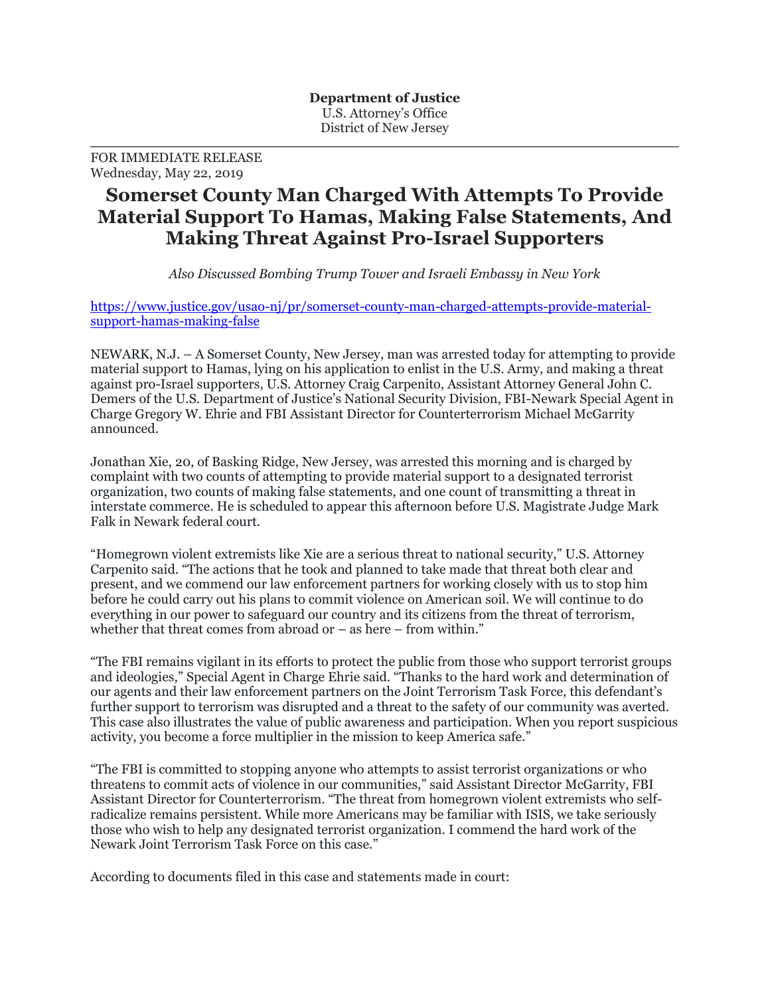FOR IMMEDIATE RELEASE Wednesday, May 22, 2019

## **Somerset County Man Charged With Attempts To Provide Material Support To Hamas, Making False Statements, And Making Threat Against Pro-Israel Supporters**

*Also Discussed Bombing Trump Tower and Israeli Embassy in New York*

[https://www.justice.gov/usao-nj/pr/somerset-county-man-charged-attempts-provide-material](https://www.justice.gov/usao-nj/pr/somerset-county-man-charged-attempts-provide-material-support-hamas-making-false)[support-hamas-making-false](https://www.justice.gov/usao-nj/pr/somerset-county-man-charged-attempts-provide-material-support-hamas-making-false)

NEWARK, N.J. – A Somerset County, New Jersey, man was arrested today for attempting to provide material support to Hamas, lying on his application to enlist in the U.S. Army, and making a threat against pro-Israel supporters, U.S. Attorney Craig Carpenito, Assistant Attorney General John C. Demers of the U.S. Department of Justice's National Security Division, FBI-Newark Special Agent in Charge Gregory W. Ehrie and FBI Assistant Director for Counterterrorism Michael McGarrity announced.

Jonathan Xie, 20, of Basking Ridge, New Jersey, was arrested this morning and is charged by complaint with two counts of attempting to provide material support to a designated terrorist organization, two counts of making false statements, and one count of transmitting a threat in interstate commerce. He is scheduled to appear this afternoon before U.S. Magistrate Judge Mark Falk in Newark federal court.

"Homegrown violent extremists like Xie are a serious threat to national security," U.S. Attorney Carpenito said. "The actions that he took and planned to take made that threat both clear and present, and we commend our law enforcement partners for working closely with us to stop him before he could carry out his plans to commit violence on American soil. We will continue to do everything in our power to safeguard our country and its citizens from the threat of terrorism, whether that threat comes from abroad or – as here – from within."

"The FBI remains vigilant in its efforts to protect the public from those who support terrorist groups and ideologies," Special Agent in Charge Ehrie said. "Thanks to the hard work and determination of our agents and their law enforcement partners on the Joint Terrorism Task Force, this defendant's further support to terrorism was disrupted and a threat to the safety of our community was averted. This case also illustrates the value of public awareness and participation. When you report suspicious activity, you become a force multiplier in the mission to keep America safe."

"The FBI is committed to stopping anyone who attempts to assist terrorist organizations or who threatens to commit acts of violence in our communities," said Assistant Director McGarrity, FBI Assistant Director for Counterterrorism. "The threat from homegrown violent extremists who selfradicalize remains persistent. While more Americans may be familiar with ISIS, we take seriously those who wish to help any designated terrorist organization. I commend the hard work of the Newark Joint Terrorism Task Force on this case."

According to documents filed in this case and statements made in court: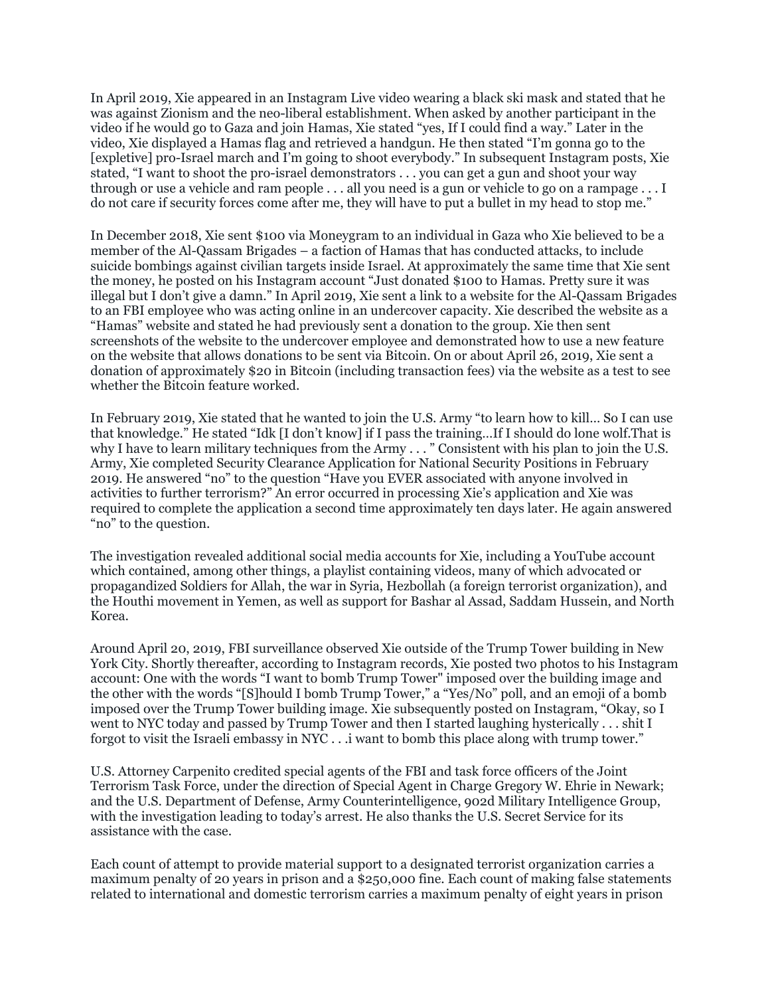In April 2019, Xie appeared in an Instagram Live video wearing a black ski mask and stated that he was against Zionism and the neo-liberal establishment. When asked by another participant in the video if he would go to Gaza and join Hamas, Xie stated "yes, If I could find a way." Later in the video, Xie displayed a Hamas flag and retrieved a handgun. He then stated "I'm gonna go to the [expletive] pro-Israel march and I'm going to shoot everybody." In subsequent Instagram posts, Xie stated, "I want to shoot the pro-israel demonstrators . . . you can get a gun and shoot your way through or use a vehicle and ram people . . . all you need is a gun or vehicle to go on a rampage . . . I do not care if security forces come after me, they will have to put a bullet in my head to stop me."

In December 2018, Xie sent \$100 via Moneygram to an individual in Gaza who Xie believed to be a member of the Al-Qassam Brigades – a faction of Hamas that has conducted attacks, to include suicide bombings against civilian targets inside Israel. At approximately the same time that Xie sent the money, he posted on his Instagram account "Just donated \$100 to Hamas. Pretty sure it was illegal but I don't give a damn." In April 2019, Xie sent a link to a website for the Al-Qassam Brigades to an FBI employee who was acting online in an undercover capacity. Xie described the website as a "Hamas" website and stated he had previously sent a donation to the group. Xie then sent screenshots of the website to the undercover employee and demonstrated how to use a new feature on the website that allows donations to be sent via Bitcoin. On or about April 26, 2019, Xie sent a donation of approximately \$20 in Bitcoin (including transaction fees) via the website as a test to see whether the Bitcoin feature worked.

In February 2019, Xie stated that he wanted to join the U.S. Army "to learn how to kill… So I can use that knowledge." He stated "Idk [I don't know] if I pass the training…If I should do lone wolf.That is why I have to learn military techniques from the Army . . . " Consistent with his plan to join the U.S. Army, Xie completed Security Clearance Application for National Security Positions in February 2019. He answered "no" to the question "Have you EVER associated with anyone involved in activities to further terrorism?" An error occurred in processing Xie's application and Xie was required to complete the application a second time approximately ten days later. He again answered "no" to the question.

The investigation revealed additional social media accounts for Xie, including a YouTube account which contained, among other things, a playlist containing videos, many of which advocated or propagandized Soldiers for Allah, the war in Syria, Hezbollah (a foreign terrorist organization), and the Houthi movement in Yemen, as well as support for Bashar al Assad, Saddam Hussein, and North Korea.

Around April 20, 2019, FBI surveillance observed Xie outside of the Trump Tower building in New York City. Shortly thereafter, according to Instagram records, Xie posted two photos to his Instagram account: One with the words "I want to bomb Trump Tower" imposed over the building image and the other with the words "[S]hould I bomb Trump Tower," a "Yes/No" poll, and an emoji of a bomb imposed over the Trump Tower building image. Xie subsequently posted on Instagram, "Okay, so I went to NYC today and passed by Trump Tower and then I started laughing hysterically . . . shit I forgot to visit the Israeli embassy in NYC . . .i want to bomb this place along with trump tower."

U.S. Attorney Carpenito credited special agents of the FBI and task force officers of the Joint Terrorism Task Force, under the direction of Special Agent in Charge Gregory W. Ehrie in Newark; and the U.S. Department of Defense, Army Counterintelligence, 902d Military Intelligence Group, with the investigation leading to today's arrest. He also thanks the U.S. Secret Service for its assistance with the case.

Each count of attempt to provide material support to a designated terrorist organization carries a maximum penalty of 20 years in prison and a \$250,000 fine. Each count of making false statements related to international and domestic terrorism carries a maximum penalty of eight years in prison